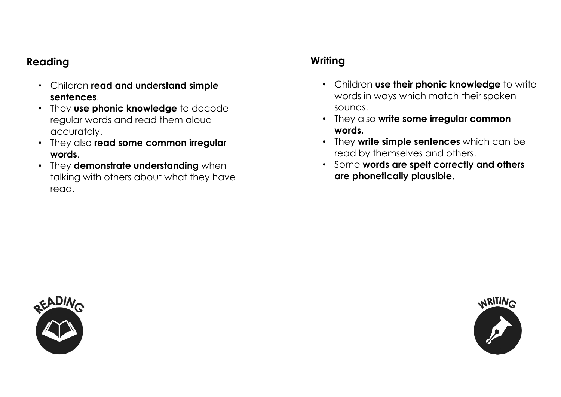## Reading

- Children read and understand simple sentences.
- They use phonic knowledge to decode regular words and read them aloud accurately.
- They also read some common irregular words.
- They demonstrate understanding when talking with others about what they have read.

## **Writing**

- Children use their phonic knowledge to write words in ways which match their spoken sounds.
- They also write some irregular common words.
- They write simple sentences which can be read by themselves and others.
- Some words are spelt correctly and others are phonetically plausible.